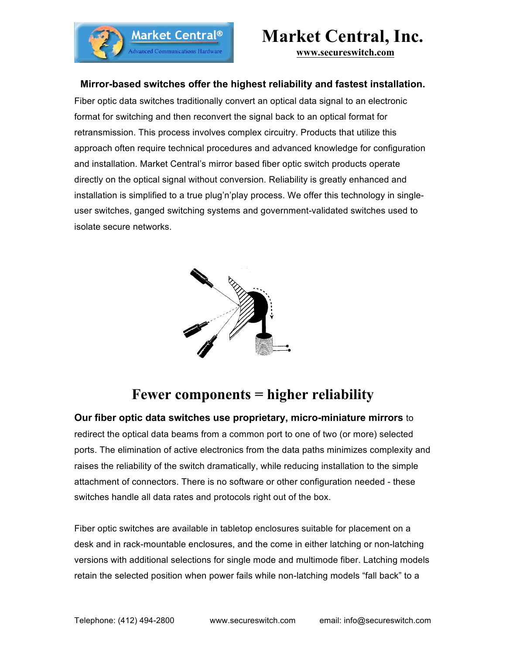

# **Market Central, Inc.**

**www.secureswitch.com**

### **Mirror-based switches offer the highest reliability and fastest installation.**

Fiber optic data switches traditionally convert an optical data signal to an electronic format for switching and then reconvert the signal back to an optical format for retransmission. This process involves complex circuitry. Products that utilize this approach often require technical procedures and advanced knowledge for configuration and installation. Market Central's mirror based fiber optic switch products operate directly on the optical signal without conversion. Reliability is greatly enhanced and installation is simplified to a true plug'n'play process. We offer this technology in singleuser switches, ganged switching systems and government-validated switches used to isolate secure networks.



## **Fewer components = higher reliability**

**Our fiber optic data switches use proprietary, micro-miniature mirrors** to redirect the optical data beams from a common port to one of two (or more) selected ports. The elimination of active electronics from the data paths minimizes complexity and raises the reliability of the switch dramatically, while reducing installation to the simple attachment of connectors. There is no software or other configuration needed - these switches handle all data rates and protocols right out of the box.

Fiber optic switches are available in tabletop enclosures suitable for placement on a desk and in rack-mountable enclosures, and the come in either latching or non-latching versions with additional selections for single mode and multimode fiber. Latching models retain the selected position when power fails while non-latching models "fall back" to a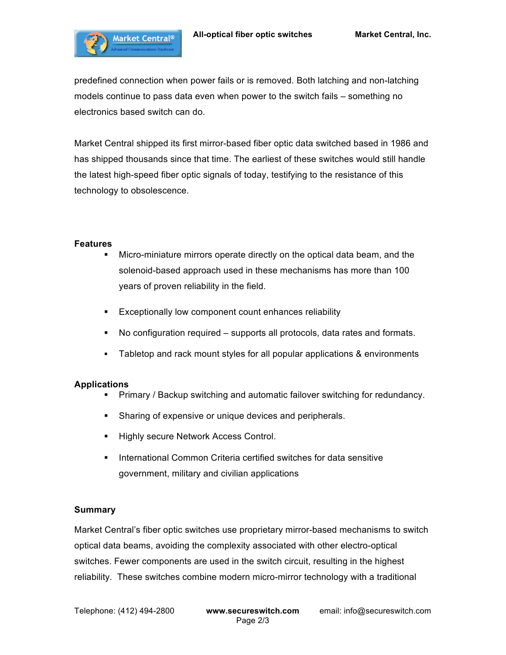

predefined connection when power fails or is removed. Both latching and non-latching models continue to pass data even when power to the switch fails – something no electronics based switch can do.

Market Central shipped its first mirror-based fiber optic data switched based in 1986 and has shipped thousands since that time. The earliest of these switches would still handle the latest high-speed fiber optic signals of today, testifying to the resistance of this technology to obsolescence.

#### **Features**

- § Micro-miniature mirrors operate directly on the optical data beam, and the solenoid-based approach used in these mechanisms has more than 100 years of proven reliability in the field.
- **Exceptionally low component count enhances reliability**
- § No configuration required supports all protocols, data rates and formats.
- § Tabletop and rack mount styles for all popular applications & environments

#### **Applications**

- § Primary / Backup switching and automatic failover switching for redundancy.
- Sharing of expensive or unique devices and peripherals.
- **Highly secure Network Access Control.**
- **International Common Criteria certified switches for data sensitive** government, military and civilian applications

#### **Summary**

Market Central's fiber optic switches use proprietary mirror-based mechanisms to switch optical data beams, avoiding the complexity associated with other electro-optical switches. Fewer components are used in the switch circuit, resulting in the highest reliability. These switches combine modern micro-mirror technology with a traditional